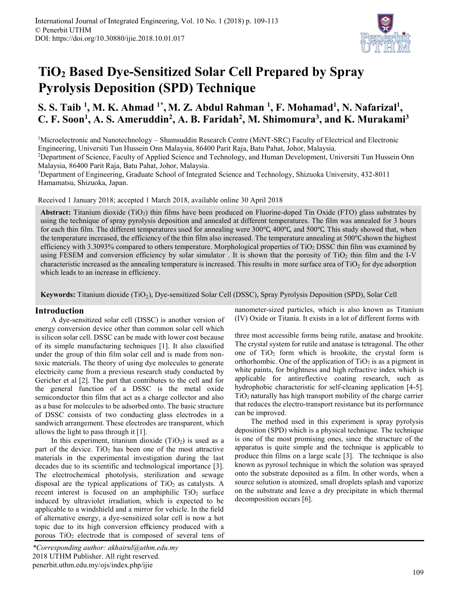

# **TiO<sup>2</sup> Based Dye-Sensitized Solar Cell Prepared by Spray Pyrolysis Deposition (SPD) Technique**

# **S. S. Taib <sup>1</sup> , M. K. Ahmad 1\* , M. Z. Abdul Rahman <sup>1</sup> , F. Mohamad<sup>1</sup> , N. Nafarizal<sup>1</sup> , C. F. Soon<sup>1</sup> , A. S. Ameruddin<sup>2</sup> , A. B. Faridah<sup>2</sup> , M. Shimomura<sup>3</sup> , and K. Murakami<sup>3</sup>**

<sup>1</sup>Microelectronic and Nanotechnology – Shamsuddin Research Centre (MiNT-SRC) Faculty of Electrical and Electronic Engineering, Universiti Tun Hussein Onn Malaysia, 86400 Parit Raja, Batu Pahat, Johor, Malaysia. <sup>2</sup>Department of Science, Faculty of Applied Science and Technology, and Human Development, Universiti Tun Hussein Onn

Malaysia, 86400 Parit Raja, Batu Pahat, Johor, Malaysia.

<sup>3</sup>Department of Engineering, Graduate School of Integrated Science and Technology, Shizuoka University, 432-8011 Hamamatsu, Shizuoka, Japan.

Received 1 January 2018; accepted 1 March 2018, available online 30 April 2018

Abstract: Titanium dioxide (TiO<sub>2</sub>) thin films have been produced on Fluorine-doped Tin Oxide (FTO) glass substrates by using the technique of spray pyrolysis deposition and annealed at different temperatures. The film was annealed for 3 hours for each thin film. The different temperatures used for annealing were 300℃, 400℃, and 500℃. This study showed that, when the temperature increased, the efficiency of the thin film also increased. The temperature annealing at 500℃ shown the highest efficiency with 3.3093% compared to others temperature. Morphological properties of TiO<sup>2</sup> DSSC thin film was examined by using FESEM and conversion efficiency by solar simulator . It is shown that the porosity of TiO<sup>2</sup> thin film and the I-V characteristic increased as the annealing temperature is increased. This results in more surface area of  $TiO<sub>2</sub>$  for dye adsorption which leads to an increase in efficiency.

Keywords: Titanium dioxide (TiO<sub>2</sub>), Dye-sensitized Solar Cell (DSSC), Spray Pyrolysis Deposition (SPD), Solar Cell

# **Introduction**

A dye-sensitized solar cell (DSSC) is another version of energy conversion device other than common solar cell which is silicon solar cell. DSSC can be made with lower cost because of its simple manufacturing techniques [1]. It also classified under the group of thin film solar cell and is made from nontoxic materials. The theory of using dye molecules to generate electricity came from a previous research study conducted by Gericher et al [2]. The part that contributes to the cell and for the general function of a DSSC is the metal oxide semiconductor thin film that act as a charge collector and also as a base for molecules to be adsorbed onto. The basic structure of DSSC consists of two conducting glass electrodes in a sandwich arrangement. These electrodes are transparent, which allows the light to pass through it [1].

In this experiment, titanium dioxide  $(TiO<sub>2</sub>)$  is used as a part of the device.  $TiO<sub>2</sub>$  has been one of the most attractive materials in the experimental investigation during the last decades due to its scientific and technological importance [3]. The electrochemical photolysis, sterilization and sewage disposal are the typical applications of  $TiO<sub>2</sub>$  as catalysts. A recent interest is focused on an amphiphilic  $TiO<sub>2</sub>$  surface induced by ultraviolet irradiation, which is expected to be applicable to a windshield and a mirror for vehicle. In the field of alternative energy, a dye-sensitized solar cell is now a hot topic due to its high conversion efficiency produced with a porous  $TiO<sub>2</sub>$  electrode that is composed of several tens of nanometer-sized particles, which is also known as Titanium (IV) Oxide or Titania. It exists in a lot of different forms with

three most accessible forms being rutile, anatase and brookite. The crystal system for rutile and anatase is tetragonal. The other one of  $TiO<sub>2</sub>$  form which is brookite, the crystal form is orthorhombic. One of the application of  $TiO<sub>2</sub>$  is as a pigment in white paints, for brightness and high refractive index which is applicable for antireflective coating research, such as hydrophobic characteristic for self-cleaning application [4-5].  $TiO<sub>2</sub>$  naturally has high transport mobility of the charge carrier that reduces the electro-transport resistance but its performance can be improved.

The method used in this experiment is spray pyrolysis deposition (SPD) which is a physical technique. The technique is one of the most promising ones, since the structure of the apparatus is quite simple and the technique is applicable to produce thin films on a large scale [3]. The technique is also known as pyrosol technique in which the solution was sprayed onto the substrate deposited as a film. In other words, when a source solution is atomized, small droplets splash and vaporize on the substrate and leave a dry precipitate in which thermal decomposition occurs [6].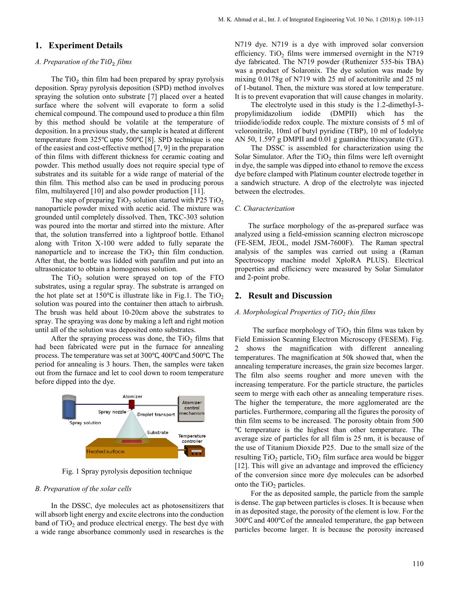# **1. Experiment Details**

## *A. Preparation of the* <sup>2</sup> *films*

The  $TiO<sub>2</sub>$  thin film had been prepared by spray pyrolysis deposition. Spray pyrolysis deposition (SPD) method involves spraying the solution onto substrate [7] placed over a heated surface where the solvent will evaporate to form a solid chemical compound. The compound used to produce a thin film by this method should be volatile at the temperature of deposition. In a previous study, the sample is heated at different temperature from 325℃ upto 500℃ [8]. SPD technique is one of the easiest and cost-effective method [7, 9] in the preparation of thin films with different thickness for ceramic coating and powder. This method usually does not require special type of substrates and its suitable for a wide range of material of the thin film. This method also can be used in producing porous film, multilayered [10] and also powder production [11].

The step of preparing  $TiO<sub>2</sub>$  solution started with P25  $TiO<sub>2</sub>$ nanoparticle powder mixed with acetic acid. The mixture was grounded until completely dissolved. Then, TKC-303 solution was poured into the mortar and stirred into the mixture. After that, the solution transferred into a lightproof bottle. Ethanol along with Triton X-100 were added to fully separate the nanoparticle and to increase the  $TiO<sub>2</sub>$  thin film conduction. After that, the bottle was lidded with parafilm and put into an ultrasonicator to obtain a homogenous solution.

The  $TiO<sub>2</sub>$  solution were sprayed on top of the FTO substrates, using a regular spray. The substrate is arranged on the hot plate set at 150 $\degree$ C is illustrate like in Fig.1. The TiO<sub>2</sub> solution was poured into the container then attach to airbrush. The brush was held about 10-20cm above the substrates to spray. The spraying was done by making a left and right motion until all of the solution was deposited onto substrates.

After the spraying process was done, the  $TiO<sub>2</sub>$  films that had been fabricated were put in the furnace for annealing process. The temperature was set at 300℃, 400℃ and 500℃. The period for annealing is 3 hours. Then, the samples were taken out from the furnace and let to cool down to room temperature before dipped into the dye.



Fig. 1 Spray pyrolysis deposition technique

#### *B. Preparation of the solar cells*

In the DSSC, dye molecules act as photosensitizers that will absorb light energy and excite electrons into the conduction band of  $TiO<sub>2</sub>$  and produce electrical energy. The best dye with a wide range absorbance commonly used in researches is the

N719 dye. N719 is a dye with improved solar conversion efficiency. TiO<sub>2</sub> films were immersed overnight in the N719 dye fabricated. The N719 powder (Ruthenizer 535-bis TBA) was a product of Solaronix. The dye solution was made by mixing 0.0178g of N719 with 25 ml of acetonitrile and 25 ml of 1-butanol. Then, the mixture was stored at low temperature. It is to prevent evaporation that will cause changes in molarity.

The electrolyte used in this study is the 1.2-dimethyl-3 propylimidazolium iodide (DMPII) which has the triiodide/iodide redox couple. The mixture consists of 5 ml of veloronitrile, 10ml of butyl pyridine (TBP), 10 ml of Iodolyte AN 50, 1.597 g DMPII and 0.01 g guanidine thiocyanate (GT).

The DSSC is assembled for characterization using the Solar Simulator. After the  $TiO<sub>2</sub>$  thin films were left overnight in dye, the sample was dipped into ethanol to remove the excess dye before clamped with Platinum counter electrode together in a sandwich structure. A drop of the electrolyte was injected between the electrodes.

#### *C. Characterization*

The surface morphology of the as-prepared surface was analyzed using a field-emission scanning electron microscope (FE-SEM, JEOL, model JSM-7600F). The Raman spectral analysis of the samples was carried out using a (Raman Spectroscopy machine model XploRA PLUS). Electrical properties and efficiency were measured by Solar Simulator and 2-point probe.

#### **2. Result and Discussion**

## *A. Morphological Properties of TiO<sup>2</sup> thin films*

The surface morphology of  $TiO<sub>2</sub>$  thin films was taken by Field Emission Scanning Electron Microscopy (FESEM). Fig. 2 shows the magnification with different annealing temperatures. The magnification at 50k showed that, when the annealing temperature increases, the grain size becomes larger. The film also seems rougher and more uneven with the increasing temperature. For the particle structure, the particles seem to merge with each other as annealing temperature rises. The higher the temperature, the more agglomerated are the particles. Furthermore, comparing all the figures the porosity of thin film seems to be increased. The porosity obtain from 500 ℃ temperature is the highest than other temperature. The average size of particles for all film is 25 nm, it is because of the use of Titanium Dioxide P25. Due to the small size of the resulting TiO<sub>2</sub> particle, TiO<sub>2</sub> film surface area would be bigger [12]. This will give an advantage and improved the efficiency of the conversion since more dye molecules can be adsorbed onto the  $TiO<sub>2</sub>$  particles.

For the as deposited sample, the particle from the sample is dense. The gap between particles is closes. It is because when in as deposited stage, the porosity of the element is low. For the 300℃ and 400℃ of the annealed temperature, the gap between particles become larger. It is because the porosity increased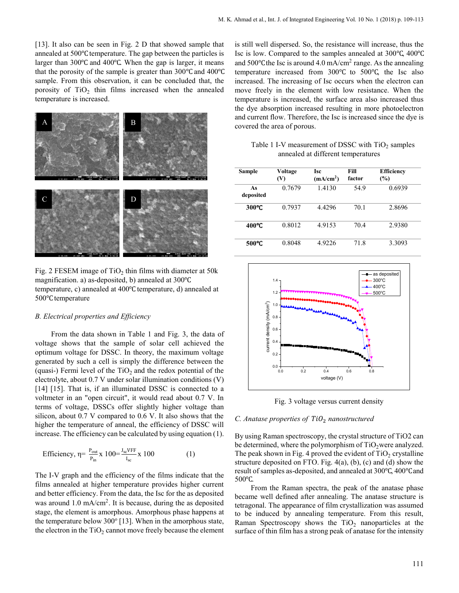[13]. It also can be seen in Fig. 2 D that showed sample that annealed at 500℃ temperature. The gap between the particles is larger than 300℃ and 400℃. When the gap is larger, it means that the porosity of the sample is greater than 300℃ and 400℃ sample. From this observation, it can be concluded that, the porosity of  $TiO<sub>2</sub>$  thin films increased when the annealed temperature is increased.



Fig. 2 FESEM image of  $TiO<sub>2</sub>$  thin films with diameter at 50 $k$ magnification. a) as-deposited, b) annealed at 300℃ temperature, c) annealed at 400℃temperature, d) annealed at 500℃temperature

#### *B. Electrical properties and Efficiency*

From the data shown in Table 1 and Fig. 3, the data of voltage shows that the sample of solar cell achieved the optimum voltage for DSSC. In theory, the maximum voltage generated by such a cell is simply the difference between the (quasi-) Fermi level of the  $TiO<sub>2</sub>$  and the redox potential of the electrolyte, about 0.7 V under solar illumination conditions (V) [14] [15]. That is, if an illuminated DSSC is connected to a voltmeter in an "open circuit", it would read about 0.7 V. In terms of voltage, DSSCs offer slightly higher voltage than silicon, about 0.7 V compared to 0.6 V. It also shows that the higher the temperature of anneal, the efficiency of DSSC will increase. The efficiency can be calculated by using equation (1).

Efficiency, 
$$
\eta = \frac{P_{out}}{P_{in}} \times 100 = \frac{J_{sc}VFF}{I_{sc}} \times 100
$$
 (1)

The I-V graph and the efficiency of the films indicate that the films annealed at higher temperature provides higher current and better efficiency. From the data, the Isc for the as deposited was around 1.0 mA/cm<sup>2</sup>. It is because, during the as deposited stage, the element is amorphous. Amorphous phase happens at the temperature below  $300^{\circ}$  [13]. When in the amorphous state, the electron in the  $TiO<sub>2</sub>$  cannot move freely because the element

is still well dispersed. So, the resistance will increase, thus the Isc is low. Compared to the samples annealed at 300℃, 400℃ and  $500^{\circ}$ C the Isc is around 4.0 mA/cm<sup>2</sup> range. As the annealing temperature increased from 300℃ to 500℃, the Isc also increased. The increasing of Isc occurs when the electron can move freely in the element with low resistance. When the temperature is increased, the surface area also increased thus the dye absorption increased resulting in more photoelectron and current flow. Therefore, the Isc is increased since the dye is covered the area of porous.

Table 1 I-V measurement of DSSC with  $TiO<sub>2</sub>$  samples annealed at different temperatures

| Sample          | Voltage<br>(V) | <b>Isc</b><br>(mA/cm <sup>2</sup> ) | Fill<br>factor | <b>Efficiency</b><br>(%) |
|-----------------|----------------|-------------------------------------|----------------|--------------------------|
| As<br>deposited | 0.7679         | 1.4130                              | 54.9           | 0.6939                   |
| 300°C           | 0.7937         | 4.4296                              | 70.1           | 2.8696                   |
| 400°C           | 0.8012         | 4.9153                              | 70.4           | 2.9380                   |
| 500°C           | 0.8048         | 4.9226                              | 71.8           | 3.3093                   |



Fig. 3 voltage versus current density

#### *C. Anatase properties of TiO<sub>2</sub> nanostructured*

By using Raman spectroscopy, the crystal structure of TiO2 can be determined, where the polymorphism of  $TiO<sub>2</sub>$  were analyzed. The peak shown in Fig. 4 proved the evident of  $TiO<sub>2</sub>$  crystalline structure deposited on FTO. Fig.  $4(a)$ ,  $(b)$ ,  $(c)$  and  $(d)$  show the result of samples as-deposited, and annealed at 300℃, 400℃ and 500℃.

From the Raman spectra, the peak of the anatase phase became well defined after annealing. The anatase structure is tetragonal. The appearance of film crystallization was assumed to be induced by annealing temperature. From this result, Raman Spectroscopy shows the  $TiO<sub>2</sub>$  nanoparticles at the surface of thin film has a strong peak of anatase for the intensity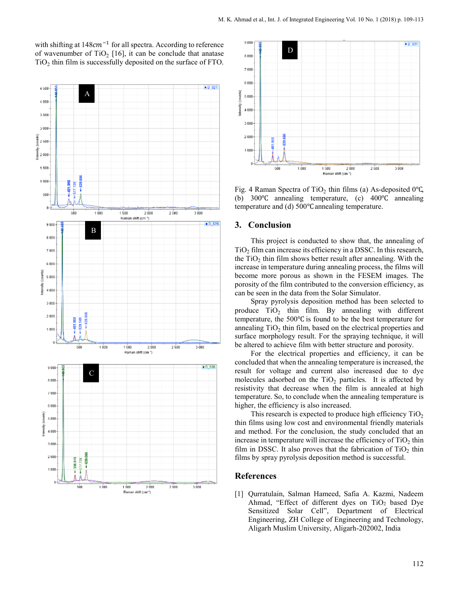with shifting at  $148cm^{-1}$  for all spectra. According to reference of wavenumber of  $TiO<sub>2</sub>$  [16], it can be conclude that anatase  $TiO<sub>2</sub>$  thin film is successfully deposited on the surface of FTO.





Fig. 4 Raman Spectra of TiO<sub>2</sub> thin films (a) As-deposited 0°C, (b) 300℃ annealing temperature, (c) 400℃ annealing temperature and (d) 500℃ annealing temperature.

#### **3. Conclusion**

This project is conducted to show that, the annealing of  $TiO<sub>2</sub>$  film can increase its efficiency in a DSSC. In this research, the  $TiO<sub>2</sub>$  thin film shows better result after annealing. With the increase in temperature during annealing process, the films will become more porous as shown in the FESEM images. The porosity of the film contributed to the conversion efficiency, as can be seen in the data from the Solar Simulator.

Spray pyrolysis deposition method has been selected to produce  $TiO<sub>2</sub>$  thin film. By annealing with different temperature, the 500℃ is found to be the best temperature for annealing  $TiO<sub>2</sub>$  thin film, based on the electrical properties and surface morphology result. For the spraying technique, it will be altered to achieve film with better structure and porosity.

For the electrical properties and efficiency, it can be concluded that when the annealing temperature is increased, the result for voltage and current also increased due to dye molecules adsorbed on the  $TiO<sub>2</sub>$  particles. It is affected by resistivity that decrease when the film is annealed at high temperature. So, to conclude when the annealing temperature is higher, the efficiency is also increased.

This research is expected to produce high efficiency  $TiO<sub>2</sub>$ thin films using low cost and environmental friendly materials and method. For the conclusion, the study concluded that an increase in temperature will increase the efficiency of  $TiO<sub>2</sub>$  thin film in DSSC. It also proves that the fabrication of  $TiO<sub>2</sub>$  thin films by spray pyrolysis deposition method is successful.

#### **References**

[1] Qurratulain, Salman Hameed, Safia A. Kazmi, Nadeem Ahmad, "Effect of different dyes on  $TiO<sub>2</sub>$  based Dye Sensitized Solar Cell", Department of Electrical Engineering, ZH College of Engineering and Technology, Aligarh Muslim University, Aligarh-202002, India